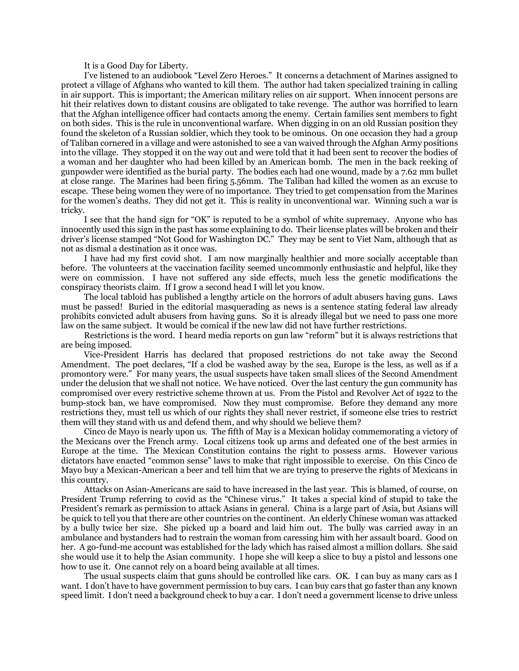It is a Good Day for Liberty.

I've listened to an audiobook "Level Zero Heroes." It concerns a detachment of Marines assigned to protect a village of Afghans who wanted to kill them. The author had taken specialized training in calling in air support. This is important; the American military relies on air support. When innocent persons are hit their relatives down to distant cousins are obligated to take revenge. The author was horrified to learn that the Afghan intelligence officer had contacts among the enemy. Certain families sent members to fight on both sides. This is the rule in unconventional warfare. When digging in on an old Russian position they found the skeleton of a Russian soldier, which they took to be ominous. On one occasion they had a group of Taliban cornered in a village and were astonished to see a van waived through the Afghan Army positions into the village. They stopped it on the way out and were told that it had been sent to recover the bodies of a woman and her daughter who had been killed by an American bomb. The men in the back reeking of gunpowder were identified as the burial party. The bodies each had one wound, made by a 7.62 mm bullet at close range. The Marines had been firing 5.56mm. The Taliban had killed the women as an excuse to escape. These being women they were of no importance. They tried to get compensation from the Marines for the women's deaths. They did not get it. This is reality in unconventional war. Winning such a war is tricky.

I see that the hand sign for "OK" is reputed to be a symbol of white supremacy. Anyone who has innocently used this sign in the past has some explaining to do. Their license plates will be broken and their driver's license stamped "Not Good for Washington DC." They may be sent to Viet Nam, although that as not as dismal a destination as it once was.

I have had my first covid shot. I am now marginally healthier and more socially acceptable than before. The volunteers at the vaccination facility seemed uncommonly enthusiastic and helpful, like they were on commission. I have not suffered any side effects, much less the genetic modifications the conspiracy theorists claim. If I grow a second head I will let you know.

The local tabloid has published a lengthy article on the horrors of adult abusers having guns. Laws must be passed! Buried in the editorial masquerading as news is a sentence stating federal law already prohibits convicted adult abusers from having guns. So it is already illegal but we need to pass one more law on the same subject. It would be comical if the new law did not have further restrictions.

Restrictions is the word. I heard media reports on gun law "reform" but it is always restrictions that are being imposed.

Vice-President Harris has declared that proposed restrictions do not take away the Second Amendment. The poet declares, "If a clod be washed away by the sea, Europe is the less, as well as if a promontory were." For many years, the usual suspects have taken small slices of the Second Amendment under the delusion that we shall not notice. We have noticed. Over the last century the gun community has compromised over every restrictive scheme thrown at us. From the Pistol and Revolver Act of 1922 to the bump-stock ban, we have compromised. Now they must compromise. Before they demand any more restrictions they, must tell us which of our rights they shall never restrict, if someone else tries to restrict them will they stand with us and defend them, and why should we believe them?

Cinco de Mayo is nearly upon us. The fifth of May is a Mexican holiday commemorating a victory of the Mexicans over the French army. Local citizens took up arms and defeated one of the best armies in Europe at the time. The Mexican Constitution contains the right to possess arms. However various dictators have enacted "common sense" laws to make that right impossible to exercise. On this Cinco de Mayo buy a Mexican-American a beer and tell him that we are trying to preserve the rights of Mexicans in this country.

Attacks on Asian-Americans are said to have increased in the last year. This is blamed, of course, on President Trump referring to covid as the "Chinese virus." It takes a special kind of stupid to take the President's remark as permission to attack Asians in general. China is a large part of Asia, but Asians will be quick to tell you that there are other countries on the continent. An elderly Chinese woman was attacked by a bully twice her size. She picked up a board and laid him out. The bully was carried away in an ambulance and bystanders had to restrain the woman from caressing him with her assault board. Good on her. A go-fund-me account was established for the lady which has raised almost a million dollars. She said she would use it to help the Asian community. I hope she will keep a slice to buy a pistol and lessons one how to use it. One cannot rely on a board being available at all times.

The usual suspects claim that guns should be controlled like cars. OK. I can buy as many cars as I want. I don't have to have government permission to buy cars. I can buy cars that go faster than any known speed limit. I don't need a background check to buy a car. I don't need a government license to drive unless